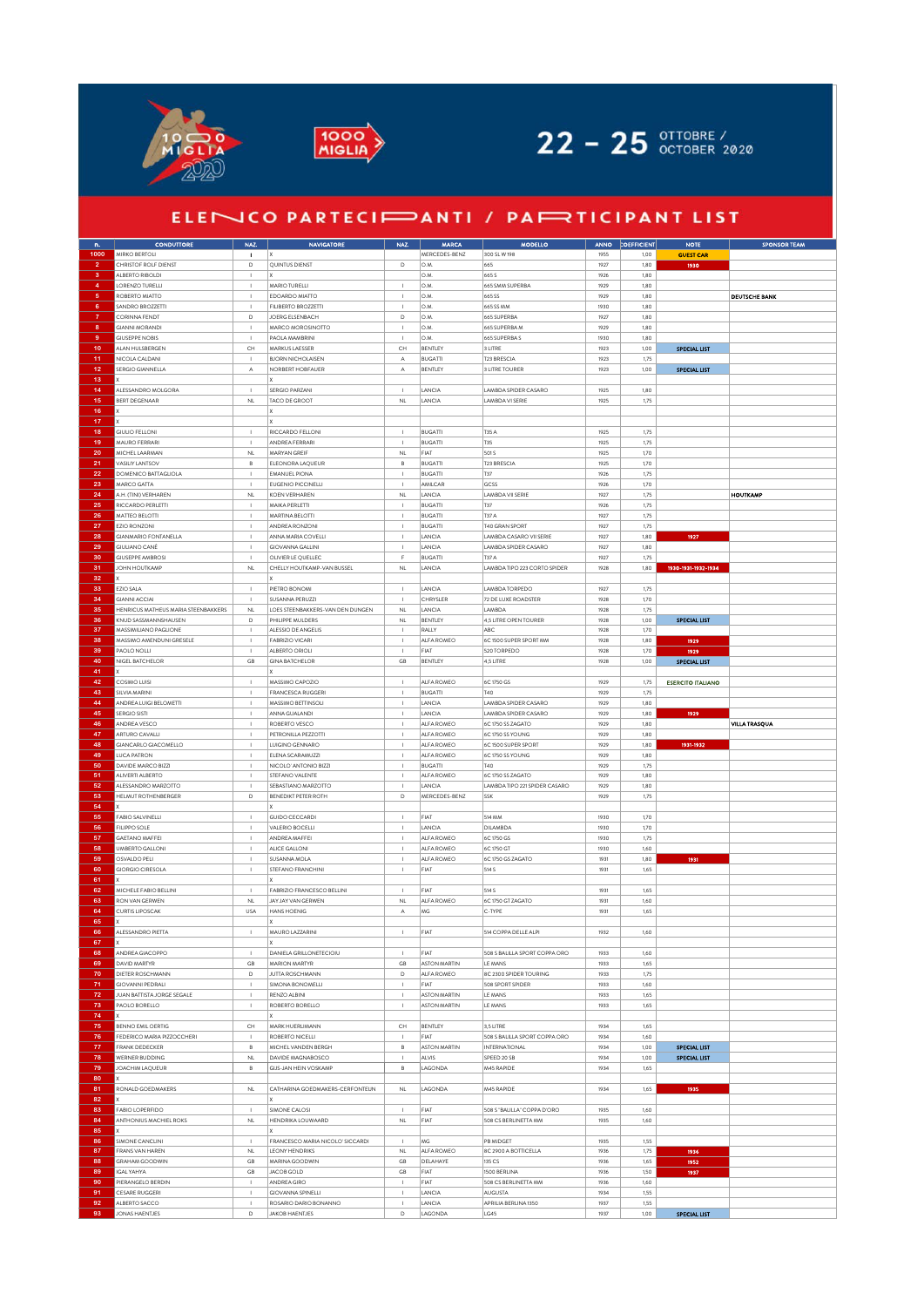



## 22 - 25 OTTOBRE /

## ELENICO PARTECIPANTI / PAPRITICIPANT LIST

| $\mathbf{n}_\text{e}$ | <b>CONDUTTORE</b>                   | NAZ.                                                             | <b>NAVIGATORE</b>                | NAZ.                             | <b>MARCA</b>         | <b>MODELLO</b>                            | ANNO         | CEFFICIENT   | <b>NOTE</b>              | <b>SPONSOR TEAM</b>  |
|-----------------------|-------------------------------------|------------------------------------------------------------------|----------------------------------|----------------------------------|----------------------|-------------------------------------------|--------------|--------------|--------------------------|----------------------|
| 1000                  | MIRKO BERTOLI                       | $\mathbf{I}$                                                     |                                  |                                  | MERCEDES-BENZ        | 300 SL W 198                              | 1955         | 1,00         | <b>GUEST CAR</b>         |                      |
| $\overline{2}$        | CHRISTOF ROLF DIENST                | $\mathsf D$                                                      | QUINTUS DIENST                   | D                                | O.M                  | 665                                       | 1927         | 1,80         | 1930                     |                      |
| $\bf{3}$              | ALBERTO RIBOLDI                     |                                                                  |                                  |                                  | O.M.                 | 665 S                                     | 1926         | 1,80         |                          |                      |
| $\overline{4}$        | LORENZO TURELLI                     | $\overline{1}$                                                   | MARIO TURELLI                    | $\overline{1}$                   | O.M                  | 665 SMM SUPERBA                           | 1929         | 1.80         |                          |                      |
| $\mathbf 5$           | ROBERTO MIATTO                      | $\overline{\phantom{a}}$                                         | EDOARDO MIATTO                   | $\mathbf{I}$                     | O.M.                 | 665 SS                                    | 1929         | 1,80         |                          | <b>DEUTSCHE BANK</b> |
| $6\phantom{a}$        | SANDRO BROZZETTI                    | $\overline{1}$                                                   | FILIBERTO BROZZETTI              | $\overline{1}$                   | O.M                  | 665 SS MM                                 | 1930         | 1,80         |                          |                      |
| $\overline{7}$        | CORINNA FENDT                       | $\mathsf D$                                                      | JOERG ELSENBACH                  | $\mathsf D$                      | O.M.                 | 665 SUPERBA                               | 1927         | 1,80         |                          |                      |
| 8                     | <b>GIANNI MORANDI</b>               | $\overline{1}$                                                   | MARCO MOROSINOTTO                | $\overline{1}$                   | O.M                  | 665 SUPERBA M                             | 1929         | 1,80         |                          |                      |
| 9                     | <b>GIUSEPPE NOBIS</b>               | $\overline{\phantom{a}}$                                         | PAOLA MAMBRINI                   | $\overline{\phantom{a}}$         | O.M.                 | 665 SUPERBAS                              | 1930         | 1,80         |                          |                      |
| 10                    | ALAN HULSBERGEN                     | $\mathsf{CH}% _{\mathbb{C}}\left( \mathbb{C}^{\otimes n}\right)$ | MARKUS LAESSER                   | CH                               | BENTLEY              | 3 LITRE                                   | 1923         | 1,00         | <b>SPECIAL LIST</b>      |                      |
| 11                    | NICOLA CALDANI                      | $\overline{\phantom{a}}$                                         | <b>BJORN NICHOLAISEN</b>         | А                                | <b>BUGATTI</b>       | T23 BRESCIA                               | 1923         | 1,75         |                          |                      |
| $12 \overline{ }$     | SERGIO GIANNELLA                    | $\mathbb A$                                                      | NORBERT HOBFAUER                 | А                                | BENTLEY              | 3 LITRE TOURER                            | 1923         | 1,00         | <b>SPECIAL LIST</b>      |                      |
| 13                    |                                     |                                                                  |                                  |                                  |                      |                                           |              |              |                          |                      |
| 14                    | ALESSANDRO MOLGORA                  | $\overline{1}$                                                   | SERGIO PARZANI                   | $\overline{1}$                   | LANCIA               | LAMBDA SPIDER CASARO                      | 1925         | 1,80         |                          |                      |
| 15                    | <b>BERT DEGENAAR</b>                | $\mathsf{NL}$                                                    | TACO DE GROOT                    | $\mathsf{NL}$                    | LANCIA               | LAMBDA VI SERIE                           | 1925         | 1,75         |                          |                      |
| 16                    |                                     |                                                                  |                                  |                                  |                      |                                           |              |              |                          |                      |
| 17                    |                                     |                                                                  |                                  |                                  |                      |                                           |              |              |                          |                      |
| 18                    | <b>GIULIO FELLONI</b>               | $\overline{1}$                                                   | RICCARDO FELLONI                 | $\overline{1}$                   | <b>BUGATTI</b>       | T35 A                                     | 1925         | 1,75         |                          |                      |
| 19                    | MAURO FERRARI                       | $\mathbf{I}$                                                     | ANDREA FERRAR                    | $\mathbf{I}$                     | <b>BUGATTI</b>       | T35                                       | 1925         | 1,75         |                          |                      |
| 20                    | MICHEL LAARMAN                      | $\mathsf{NL}$                                                    | MARYAN GREIF                     | $\mathsf{NL}$                    | FIAT                 | 501 S                                     | 1925         | 1,70         |                          |                      |
| 21                    | VASILIY LANTSOV                     | $_{\rm B}$                                                       | ELEONORA LAQUEUR                 | $_{\rm B}$                       | <b>BUGATTI</b>       | T23 BRESCIA                               | 1925         | 1,70         |                          |                      |
| 22                    | DOMENICO BATTAGLIOLA                | $\overline{1}$                                                   | <b>EMANUEL PIONA</b>             | $\overline{1}$                   | <b>BUGATTI</b>       | T37                                       | 1926         | 1,75         |                          |                      |
| 23                    | MARCO GATTA                         | $\mathbf{I}$                                                     | EUGENIO PICCINELLI               | $\overline{1}$                   | AMILCAR              | GCSS                                      | 1926         | 1,70         |                          |                      |
| 24                    | A.H. (TINI) VERHAREN                | $\mathsf{NL}$                                                    | KOEN VERHAREN                    | $\mathsf{NL}$                    | LANCIA               | LAMBDA VII SERIE                          | 1927         | 1,75         |                          | <b>HOUTKAMP</b>      |
| 25                    | RICCARDO PERLETTI                   | $\overline{\phantom{a}}$                                         | MAIKA PERLETTI                   | $\overline{\phantom{a}}$         | <b>BUGATTI</b>       | T37                                       | 1926         | 1,75         |                          |                      |
| 26                    | MATTEO BELOTTI                      | $\overline{1}$                                                   | MARTINA BELOTTI                  | $\overline{1}$                   | <b>BUGATTI</b>       | T37 A                                     | 1927         | 1,75         |                          |                      |
| 27                    | EZIO RONZONI                        | $\mathbf{I}$                                                     | ANDREA RONZONI                   | $\overline{1}$                   | BUGATTI              | T40 GRAN SPORT                            | 1927         | 1,75         |                          |                      |
| 28                    | <b>GIANMARIO FONTANELLA</b>         | $\mathbf I$                                                      | ANNA MARIA COVELLI               | $\mathbf{I}$                     | LANCIA               | LAMBDA CASARO VII SERIE                   | 1927         | 1,80         | 1927                     |                      |
| 29                    | <b>GIULIANO CANÉ</b>                | $\overline{\phantom{a}}$                                         | <b>GIOVANNA GALLINI</b>          | $\overline{\phantom{a}}$         | LANCIA               | LAMBDA SPIDER CASARO                      | 1927         | 1,80         |                          |                      |
| 30                    | <b>GIUSEPPE AMBROSI</b>             | $\overline{1}$                                                   | OLIVIER LE QUELLEC               | F                                | <b>BUGATTI</b>       | T37 A                                     | 1927         | 1,75         |                          |                      |
| 31                    | JOHN HOUTKAMP                       | $\mathsf{NL}$                                                    | CHELLY HOUTKAMP-VAN BUSSEL       | NL                               | LANCIA               | LAMBDA TIPO 223 CORTO SPIDER              | 1928         | 1,80         | 1930-1931-1932-1934      |                      |
| 32                    |                                     |                                                                  |                                  |                                  |                      |                                           |              |              |                          |                      |
| 33                    | EZIO SALA                           | $\mathbf{I}$                                                     | PIETRO BONOMI                    | $\mathbf{I}$                     | LANCIA               | LAMBDA TORPEDO                            | 1927         | 1,75         |                          |                      |
| 34                    | <b>GIANNI ACCIAI</b>                | $\overline{\phantom{a}}$                                         | SUSANNA PERUZZI                  | $\overline{\phantom{a}}$         | CHRYSLER             | 72 DE LUXE ROADSTER                       | 1928         | 1,70         |                          |                      |
| 35                    | HENRICUS MATHEUS MARIA STEENBAKKERS | <b>NL</b>                                                        | LOES STEENBAKKERS-VAN DEN DUNGEN | <b>NL</b>                        | LANCIA               | LAMBDA                                    | 1928         | 1,75         |                          |                      |
| 36                    | KNUD SASSMANNSHAUSEN                | $\mathsf D$                                                      | PHILIPPE MULDERS                 | $\mathsf{NL}$                    | BENTLEY              | 4,5 LITRE OPEN TOURER                     | 1928         | 1,00         | SPECIAL LIST             |                      |
| 37                    | MASSIMILIANO PAGLIONE               | $\blacksquare$                                                   | ALESSIO DE ANGELIS               | $\overline{1}$                   | RALLY                | ABC                                       | 1928         | 1,70         |                          |                      |
| 38                    | MASSIMO AMENDUNI GRESELE            | $\overline{\phantom{a}}$                                         | <b>FABRIZIO VICARI</b>           | $\mathbf{I}$                     | ALFA ROMEO           | 6C 1500 SUPER SPORT MM                    | 1928         | 1,80         | 1929                     |                      |
| 39                    | PAOLO NOLLI                         | $\blacksquare$                                                   | ALBERTO ORIOLI                   | $\overline{1}$                   | FIAT                 | 520 TORPEDO                               | 1928         | 1,70         | 1929                     |                      |
| 40                    | NIGEL BATCHELOR                     | $\mathsf{GB}$                                                    | <b>GINA BATCHELOR</b>            | GB                               | BENTLEY              | 4,5 LITRE                                 | 1928         | 1,00         | <b>SPECIAL LIST</b>      |                      |
| 41                    |                                     |                                                                  |                                  |                                  |                      |                                           |              |              |                          |                      |
| 42                    | COSIMO LUISI                        | $\mathbf I$                                                      | MASSIMO CAPOZIO                  | $\overline{\phantom{a}}$         | ALFA ROMEO           | 6C 1750 GS                                | 1929         | 1,75         | <b>ESERCITO ITALIANO</b> |                      |
| 43<br>44              | SILVIA MARINI                       | $\overline{1}$<br>$\mathbf{I}$                                   | FRANCESCA RUGGERI                | $\overline{1}$<br>$\overline{1}$ | <b>BUGATTI</b>       | T40                                       | 1929         | 1,75         |                          |                      |
|                       | ANDREA LUIGI BELOMETTI              |                                                                  | MASSIMO BETTINSOLI               |                                  | LANCIA               | LAMBDA SPIDER CASARO                      | 1929         | 1,80         |                          |                      |
| 45<br>46              | <b>SERGIO SISTI</b><br>ANDREA VESCO | $\mathbf{I}$<br>$\overline{1}$                                   | ANNA GUALANDI<br>ROBERTO VESCO   | $\mathbf{I}$<br>$\overline{1}$   | LANCIA<br>ALFA ROMEO | LAMBDA SPIDER CASARO<br>6C 1750 SS ZAGATO | 1929<br>1929 | 1,80<br>1.80 | 1929                     |                      |
| 47                    | ARTURO CAVALLI                      | $\overline{\phantom{a}}$                                         | PETRONILLA PEZZOTTI              | $\mathbf{I}$                     | ALFA ROMEO           | 6C 1750 SS YOUNG                          | 1929         | 1,80         |                          | <b>VILLA TRASQUA</b> |
| 48                    | GIANCARLO GIACOMELLO                | $\overline{1}$                                                   | LUIGINO GENNARO                  | $\overline{1}$                   | ALFA ROMEO           | 6C 1500 SUPER SPORT                       | 1929         | 1,80         | 1931-1932                |                      |
| 49                    | <b>LUCA PATRON</b>                  | $\overline{\phantom{a}}$                                         | ELENA SCARAMUZZI                 | $\overline{1}$                   | ALFA ROMEO           | 6C 1750 SS YOUNG                          | 1929         | 1,80         |                          |                      |
| 50                    | DAVIDE MARCO BIZZI                  | $\mathbf{I}$                                                     | NICOLO' ANTONIO BIZZI            | $\overline{1}$                   | <b>BUGATTI</b>       | T40                                       | 1929         | 1,75         |                          |                      |
| 51                    | ALIVERTI ALBERTO                    | $\overline{\phantom{a}}$                                         | STEFANO VALENTE                  | $\overline{\phantom{a}}$         | ALFA ROMEO           | 6C 1750 SS ZAGATO                         | 1929         | 1,80         |                          |                      |
| 52                    | ALESSANDRO MARZOTTO                 | $\overline{1}$                                                   | SEBASTIANO MARZOTTO              | $\overline{1}$                   | LANCIA               | LAMBDA TIPO 221 SPIDER CASARO             | 1929         | 1,80         |                          |                      |
| 53                    | HELMUT ROTHENBERGER                 | $\mathsf D$                                                      | BENEDIKT PETER ROTH              | $\mathsf D$                      | MERCEDES-BENZ        | SSK                                       | 1929         | 1,75         |                          |                      |
| 54                    |                                     |                                                                  |                                  |                                  |                      |                                           |              |              |                          |                      |
| 55                    | FABIO SALVINELLI                    | $\mathbf I$                                                      | <b>GUIDO CECCARDI</b>            | $\mathbf I$                      | FIAT                 | 514 MM                                    | 1930         | 1,70         |                          |                      |
| 56                    | <b>FILIPPO SOLE</b>                 | $\mathbf{I}$                                                     | VALERIO BOCELLI                  | $\overline{1}$                   | LANCIA               | <b>DILAMBDA</b>                           | 1930         | 1,70         |                          |                      |
| 57                    | GAETANO MAFFEI                      | $\mathbf I$                                                      | ANDREA MAFFEI                    |                                  | ALFA ROMEO           | 6C 1750 GS                                | 1930         | 1,75         |                          |                      |
| 58                    | <b>UMBERTO GALLONI</b>              | $\mathbf{I}$                                                     | ALICE GALLONI                    | $\blacksquare$                   | ALFA ROMEO           | 6C 1750 GT                                | 1930         | 1,60         |                          |                      |
| 59                    | OSVALDO PELI                        | $\mathbf{I}$                                                     | SUSANNA MOLA                     | $\overline{1}$                   | ALFA ROMEO           | 6C 1750 GS ZAGATO                         | 1931         | 1,80         | 1931                     |                      |
| 60                    | <b>GIORGIO CIRESOLA</b>             | $\overline{1}$                                                   | STEFANO FRANCHINI                | $\overline{1}$                   | FIAT                 | 514 S                                     | 1931         | 1,65         |                          |                      |
| 61                    |                                     |                                                                  |                                  |                                  |                      |                                           |              |              |                          |                      |
| 62                    | MICHELE FABIO BELLINI               |                                                                  | FABRIZIO FRANCESCO BELLINI       |                                  | FIAT                 | 514 S                                     | 1931         | 1,65         |                          |                      |
| 63                    | RON VAN GERWEN                      | <b>NL</b>                                                        | JAY JAY VAN GERWEN               | <b>NL</b>                        | ALFA ROMEO           | 6C 1750 GT ZAGATO                         | 1931         | 1,60         |                          |                      |
| 64                    | <b>CURTIS LIPOSCAK</b>              | <b>USA</b>                                                       | HANS HOENIG                      | $\mathbb A$                      | MG                   | C-TYPE                                    | 1931         | 1,65         |                          |                      |
| 65                    |                                     |                                                                  |                                  |                                  |                      |                                           |              |              |                          |                      |
|                       | ALESSANDRO PIETTA                   |                                                                  | MAURO LAZZARINI                  |                                  | FIAT                 | 514 COPPA DELLE ALPI                      | 1932         | 1,60         |                          |                      |
| 67                    |                                     |                                                                  | ΙX                               |                                  |                      |                                           |              |              |                          |                      |
| 68                    | ANDREA GIACOPPO                     | $\overline{1}$                                                   | DANIELA GRILLONETECIOIU          | $\overline{1}$                   | FIAT                 | 508 S BALILLA SPORT COPPA ORO             | 1933         | 1,60         |                          |                      |
| 69                    | <b>DAVID MARTYR</b>                 | $\mathsf{GB}$                                                    | <b>MARION MARTYR</b>             | GB                               | <b>ASTON MARTIN</b>  | LE MANS                                   | 1933         | 1,65         |                          |                      |
| 70                    | DIETER ROSCHMANN                    | $\mathsf D$                                                      | <b>JUTTA ROSCHMANN</b>           | $\mathsf D$                      | ALFA ROMEO           | 8C 2300 SPIDER TOURING                    | 1933         | 1,75         |                          |                      |
| 71                    | <b>GIOVANNI PEDRALI</b>             | $\overline{\phantom{a}}$                                         | SIMONA BONOMELLI                 | $\overline{\phantom{a}}$         | FIAT                 | 508 SPORT SPIDER                          | 1933         | 1,60         |                          |                      |
| 72                    | JUAN BATTISTA JORGE SEGALE          | $\overline{1}$                                                   | RENZO ALBINI                     | $\overline{1}$                   | <b>ASTON MARTIN</b>  | LE MANS                                   | 1933         | 1,65         |                          |                      |
| 73                    | PAOLO BORELLO                       | $\overline{1}$                                                   | ROBERTO BORELLO                  | $\overline{1}$                   | <b>ASTON MARTIN</b>  | LE MANS                                   | 1933         | 1,65         |                          |                      |
| 74                    |                                     |                                                                  |                                  |                                  |                      |                                           |              |              |                          |                      |
| 75                    | <b>BENNO EMIL OERTIG</b>            | $\mathsf{CH}% _{\mathbb{C}}\left( \mathbb{C}^{\otimes n}\right)$ | MARK HUERLIMANN                  | CH                               | <b>BENTLEY</b>       | 3.5 LITRE                                 | 1934         | 1,65         |                          |                      |
| 76                    | FEDERICO MARIA PIZZOCCHERI          | $\mathbb{I}$                                                     | ROBERTO NICELLI                  | $\mathbf{I}$                     | FIAT                 | 508 S BALILLA SPORT COPPA ORO             | 1934         | 1,60         |                          |                      |
| 77                    | FRANK DEDECKER                      | B                                                                | MICHEL VANDEN BERGH              | B                                | <b>ASTON MARTIN</b>  | INTERNATIONAL                             | 1934         | 1,00         | SPECIAL LIST             |                      |
| 78                    | WERNER BUDDING                      | $\mathsf{NL}$                                                    | DAVIDE MAGNABOSCO                | $\overline{\phantom{a}}$         | ALVIS                | SPEED 20 SB                               | 1934         | 1,00         | SPECIAL LIST             |                      |
| 79                    | JOACHIM LAQUEUR                     | $\,$ B                                                           | GIJS-JAN HEIN VOSKAMP            | $\,$ B                           | LAGONDA              | M45 RAPIDE                                | 1934         | 1,65         |                          |                      |
| 80                    |                                     |                                                                  |                                  |                                  |                      |                                           |              |              |                          |                      |
| 81                    | RONALD GOEDMAKERS                   | $\mathsf{NL}\xspace$                                             | CATHARINA GOEDMAKERS-CERFONTEUN  | NL                               | LAGONDA              | M45 RAPIDE                                | 1934         | 1,65         | 1935                     |                      |
| 82                    |                                     |                                                                  |                                  |                                  |                      |                                           |              |              |                          |                      |
| 83                    | FABIO LOPERFIDO                     | $\mathbf I$                                                      | SIMONE CALOSI                    | $\overline{1}$                   | FIAT                 | 508 S "BALILLA" COPPA D'ORO               | 1935         | 1,60         |                          |                      |
| 84                    | ANTHONIUS MACHIEL ROKS              | $\mathsf{NL}$                                                    | HENDRIKA LOUWAARD                | $\mathsf{NL}$                    | FIAT                 | 508 CS BERLINETTA MM                      | 1935         | 1,60         |                          |                      |
| 85                    |                                     |                                                                  |                                  |                                  |                      |                                           |              |              |                          |                      |
| 86                    | SIMONE CANCLINI                     | $\overline{\phantom{a}}$                                         | FRANCESCO MARIA NICOLO' SICCARDI | $\mathbf I$                      | MG                   | PB MIDGET                                 | 1935         | 1,55         |                          |                      |
| 87                    | <b>FRANS VAN HAREN</b>              | $\mathsf{NL}$                                                    | <b>LEONY HENDRIKS</b>            | $\mathsf{NL}$                    | ALFA ROMEO           | 8C 2900 A BOTTICELLA                      | 1936         | 1,75         | 1936                     |                      |
| 88                    | <b>GRAHAM GOODWIN</b>               | $\mathsf{GB}$                                                    | MARINA GOODWIN                   | $\mathsf{GB}$                    | DELAHAYE             | 135 CS                                    | 1936         | 1,65         | 1952                     |                      |
| 89                    | <b>IGAL YAHYA</b>                   | $\mathsf{GB}$                                                    | <b>JACOB GOLD</b>                | GB                               | FIAT                 | 1500 BERLINA                              | 1936         | 1,50         | 1937                     |                      |
| 90                    | PIERANGELO BERDIN                   | $\mathbf{I}$                                                     | ANDREA GIRO                      | $\mathbf{I}$                     | FIAT                 | 508 CS BERLINETTA MM                      | 1936         | 1,60         |                          |                      |
| 91                    | CESARE RUGGERI                      | $\mathbf I$                                                      | <b>GIOVANNA SPINELLI</b>         | $\mathbf{I}$                     | LANCIA               | AUGUSTA                                   | 1934         | 1,55         |                          |                      |
| 92                    | ALBERTO SACCO                       | $\mathbf{I}$                                                     | ROSARIO DARIO BONANNO            | $\overline{1}$                   | LANCIA               | APRILIA BERLINA 1350                      | 1937         | 1,55         |                          |                      |
| 93                    | JONAS HAENTJES                      | $\mathsf D$                                                      | <b>JAKOB HAENTJES</b>            | $\mathsf D$                      | LAGONDA              | LG45                                      | 1937         | 1,00         | SPECIAL LIST             |                      |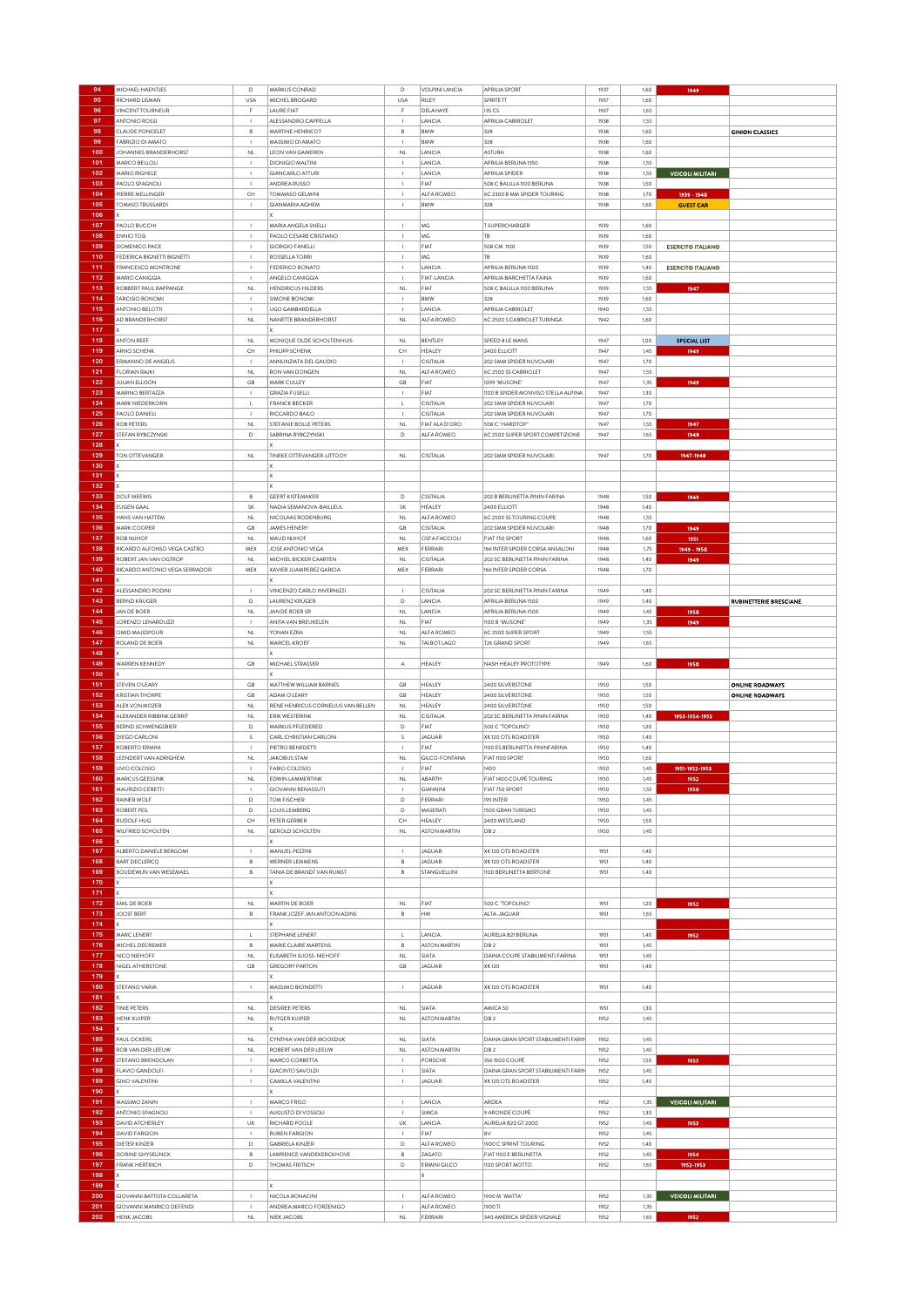| 94         | MICHAEL HAENTJES                                               | D                                        | MARKUS CONRAD                             | D                            | <b>VOLPINI LANCIA</b>              | APRILIA SPORT                                      | 1937         | 1,60         | 1949                     |                               |
|------------|----------------------------------------------------------------|------------------------------------------|-------------------------------------------|------------------------------|------------------------------------|----------------------------------------------------|--------------|--------------|--------------------------|-------------------------------|
| 95         | RICHARD LISMAN                                                 | USA                                      | MICHEL BROGARD                            | <b>USA</b>                   | RILEY                              | SPRITE TT                                          | 1937         | 1,60         |                          |                               |
| 96         | VINCENT TOURNEUR                                               |                                          | <b>AURE FIAT</b>                          | F                            | DELAHAYE                           | 135 CS                                             | 1937         | 1,65         |                          |                               |
| 97         | <b>ANTONIO ROSSI</b>                                           |                                          | ALESSANDRO CAPPELLA                       |                              | LANCIA                             | APRILIA CABRIOLET                                  | 1938         | 1,55         |                          |                               |
| 98         | <b>CLAUDE PONCELET</b>                                         | B                                        | <b>MARTINE HENRICOT</b>                   | B                            | <b>BMW</b>                         | 328                                                | 1938         | 1,60         |                          | <b>GINION CLASSICS</b>        |
| 99         | FABRIZIO DI AMATO                                              | $\mathbf{I}$                             | MASSIMO DI AMATO                          | $\mathbf{I}$                 | BMW                                | 328                                                | 1938         | 1,60         |                          |                               |
| 100        | JOHANNES BRANDERHORST                                          | $\mathsf{NL}$                            | LEON VAN GAMEREN                          | $\mathsf{NL}$                | LANCIA                             | ASTURA                                             | 1938         | 1,60         |                          |                               |
| 101        | MARCO BELLOLI                                                  |                                          | <b>DIONIGIO MALTINI</b>                   |                              | LANCIA                             | APRILIA BERLINA 1350                               | 1938         | 1,55         |                          |                               |
| 102        | MARIO RIGHELE                                                  | $\blacksquare$                           | <b>GIANCARLO ATTURI</b>                   | $\mathbf{I}$                 | LANCIA                             | <b>APRILIA SPIDER</b>                              | 1938         | 1,55         | <b>VEICOLI MILITARI</b>  |                               |
| 103        | PAOLO SPAGNOLI                                                 |                                          | ANDREA RUSSO                              | $\overline{1}$               | FIAT                               | 508 C BALILLA 1100 BERLINA                         | 1938         | 1,50         |                          |                               |
| 104        | PIERRE MELLINGER                                               | CH                                       | TOMMASO GELMINI                           |                              | ALFA ROMEO                         | 6C 2300 B MM SPIDER TOURING                        | 1938         | 1,70         | 1939 - 1940              |                               |
| 105        | TOMASO TRUSSARDI                                               | -1                                       | GIANMARIA AGHEM                           | $\mathbf{I}$                 | BMW                                | 328                                                | 1938         | 1,60         | <b>GUEST CAR</b>         |                               |
| 106        |                                                                |                                          |                                           |                              |                                    |                                                    |              |              |                          |                               |
| 107        | PAOLO BUCCHI                                                   | $\overline{1}$                           | MARIA ANGELA SNELLI                       | $\mathbf{I}$                 | MG                                 | T SUPERCHARGER                                     | 1939         | 1,60         |                          |                               |
| 108        | <b>ENNIO TOSI</b>                                              |                                          | PAOLO CESARE CRISTIANO                    |                              | ΜG                                 | TB                                                 | 1939         | 1,60         |                          |                               |
| 109        | DOMENICO PACE                                                  | $\overline{1}$                           | <b>GIORGIO FANELLI</b>                    | $\mathbf{I}$                 | FIAT                               | 508 CM 1100                                        | 1939         | 1,50         | <b>ESERCITO ITALIANO</b> |                               |
| 110        | FEDERICA BIGNETTI BIGNETTI                                     | $\overline{1}$                           | ROSSELLA TORRI                            | $\blacksquare$               | ΜG                                 | TB                                                 | 1939         | 1,60         |                          |                               |
| 111        | FRANCESCO MONTRONE                                             | $\overline{\phantom{a}}$                 | FEDERICO BONATO                           | $\overline{\phantom{a}}$     | LANCIA                             | APRILIA BERLINA 1500                               | 1939         | 1,40         | <b>ESERCITO ITALIANO</b> |                               |
| 112        | MARIO CANIGGIA                                                 |                                          | ANGELO CANIGGIA                           | $\overline{1}$               | FIAT-LANCIA                        | APRILIA BARCHETTA FAINA                            | 1939         | 1,60         |                          |                               |
| 113        | ROBBERT PAUL RAPPANGE                                          | $\mathsf{NL}$                            | <b>HENDRICUS HILDERS</b>                  | $\mathsf{NL}$                | FIAT                               | 508 C BALILLA 1100 BERLINA                         | 1939         | 1,55         | 1947                     |                               |
| 114        | <b>TARCISIO BONOMI</b>                                         | -1                                       | SIMONE BONOMI                             | $\blacksquare$               | <b>BMW</b>                         | 328                                                | 1939         | 1,60         |                          |                               |
| 115        | ANTONIO BELOTTI                                                | $\overline{\phantom{a}}$                 | UGO GAMBARDELLA                           | $\overline{\phantom{a}}$     | LANCIA                             | APRILIA CABRIOLET                                  | 1940         | 1,55         |                          |                               |
| 116        | AD BRANDERHORST                                                | <b>NL</b>                                | NANETTE BRANDERHORST                      | <b>NL</b>                    | ALFA ROMEO                         | 6C 2500 S CABRIOLET TURINGA                        | 1942         | 1,60         |                          |                               |
| 117        |                                                                |                                          |                                           |                              |                                    |                                                    |              |              |                          |                               |
| 118        | ANTON REEF                                                     | <b>NL</b>                                | MONIQUE OLDE SCHOLTENHUIS                 | <b>NL</b>                    | BENTLEY                            | SPEED 8 LE MANS                                    | 1947         | 1,00         | SPECIAL LIST             |                               |
| 119        | ARNO SCHENK                                                    | CH                                       | PHILIPP SCHENK                            | CH                           | HEALEY                             | 2400 ELLIOTT                                       | 1947         | 1,45         | 1949                     |                               |
| 120        | ERMANNO DE ANGELIS                                             |                                          |                                           |                              | CISITALIA                          |                                                    | 1947         | 1,70         |                          |                               |
|            |                                                                |                                          | ANNUNZIATA DEL GAUDIO                     |                              |                                    | 202 SMM SPIDER NUVOLARI                            |              |              |                          |                               |
| 121<br>122 | <b>FLORIAN RAJKI</b><br><b>JULIAN ELLISON</b>                  | $\mathsf{NL}$<br>GB                      | RON VAN DONGEN<br>MARK CULLEY             | $\mathsf{NL}$<br>GB          | ALFA ROMEO<br>FIAT                 | 6C 2500 SS CABRIOLET<br>1099 "MUSONE"              | 1947<br>1947 | 1,55<br>1,35 | 1949                     |                               |
| 123        | MARINO BERTAZZA                                                | $\mathbf{I}$                             | <b>GRAZIA FUSELLI</b>                     | $\mathbf I$                  | FIAT                               |                                                    | 1947         | 1,30         |                          |                               |
| 124        |                                                                | $\mathbf{L}$                             |                                           | $\mathsf{L}$                 |                                    | 1100 B SPIDER MONVISO STELLA ALPINA                | 1947         |              |                          |                               |
| 125        | MARK NIEDERKORN<br>PAOLO DANIELI                               |                                          | <b>FRANCK BECKER</b>                      |                              | CISITALIA                          | 202 SMM SPIDER NUVOLARI<br>202 SMM SPIDER NUVOLARI | 1947         | 1,70         |                          |                               |
| 126        | <b>ROB PETERS</b>                                              | <b>NL</b>                                | RICCARDO BAILO<br>STEFANIE BOLLE PETERS   | $\mathsf{NL}$                | CISITALIA<br><b>FIAT ALA D'ORO</b> | 508 C "HARDTOP                                     | 1947         | 1,70<br>1,55 |                          |                               |
| 127        |                                                                | D                                        | SABRINA RYBCZYNSKI                        | D                            |                                    |                                                    | 1947         |              | 1947                     |                               |
| 128        | STEFAN RYBCZYNSKI                                              |                                          |                                           |                              | ALFA ROMEO                         | 6C 2500 SUPER SPORT COMPETIZIONE                   |              | 1,65         | 1948                     |                               |
| 129        |                                                                |                                          |                                           |                              |                                    |                                                    |              |              |                          |                               |
|            | TON OTTEVANGER                                                 | $\mathsf{NL}$                            | TINEKE OTTEVANGER-LITTOOY                 | $\mathsf{NL}$                | CISITALIA                          | 202 SMM SPIDER NUVOLARI                            | 1947         | 1,70         | 1947-1948                |                               |
| 130        |                                                                |                                          |                                           |                              |                                    |                                                    |              |              |                          |                               |
| 131        |                                                                |                                          |                                           |                              |                                    |                                                    |              |              |                          |                               |
| 132        |                                                                |                                          |                                           |                              |                                    |                                                    |              |              |                          |                               |
| 133        | DOLF MEEWIS                                                    | $\mathbb{R}$                             | <b>GEERT KISTEMAKER</b>                   | D                            | CISITALIA                          | 202 B BERLINETTA PININ FARINA                      | 1948         | 1,50         | 1949                     |                               |
| 134        | <b>EUGEN GAAL</b>                                              | SK                                       | NADIA SEMANOVA-BAILLEUL                   | SK                           | HEALEY                             | 2400 ELLIOTT                                       | 1948         | 1,40         |                          |                               |
| 135        | HANS VAN HATTEM                                                | NL                                       | NICOLAAS RODENBURG                        | $\mathsf{NL}$                | ALFA ROMEO                         | 6C 2500 SS TOURING COUPE                           | 1948         | 1,55         |                          |                               |
| 136        | MARK COOPER                                                    | GB                                       | <b>JAMES HENERY</b>                       | GB                           | CISITALIA                          | 202 SMM SPIDER NUVOLARI                            | 1948         | 1,70         | 1949                     |                               |
| 137        | ROB NUHOR                                                      | NL                                       | MAUD NUHOF                                | NL                           | <b>OSFA FACCIOLI</b>               | FIAT 750 SPORT                                     | 1948         | 1,60         | 1951                     |                               |
| 138        | RICARDO ALFONSO VEGA CASTRO                                    | MEX                                      | JOSE ANTONIO VEGA                         | MEX                          | FERRARI                            | 166 INTER SPIDER CORSA ANSALONI                    | 1948         | 1,75         | 1949 - 1950              |                               |
| 139        | ROBERT JAN VAN OGTROP                                          | $\mathsf{NL}$                            | MICHIEL BICKER CAARTEN                    | <b>NL</b>                    | CISITALIA                          | 202 SC BERLINETTA PININ FARINA                     | 1948         | 1,40         | 1949                     |                               |
| 140        | RICARDO ANTONIO VEGA SERRADOR                                  | MEX                                      | XAVIER JUAMPEREZ GARCIA                   | MEX                          | FERRARI                            | 166 INTER SPIDER CORSA                             | 1948         | 1,70         |                          |                               |
| 141        |                                                                |                                          |                                           |                              |                                    |                                                    |              |              |                          |                               |
| 142        | ALESSANDRO PODINI                                              | $\overline{1}$                           | VINCENZO CARLO INVERNIZZI                 | $\mathbf{I}$                 | CISITALIA                          | 202 SC BERLINETTA PININ FARINA                     | 1949         | 1,40         |                          |                               |
| 143        | <b>BERND KRÜGER</b>                                            | D                                        | LAURENZ KRÜGER                            | D                            | LANCIA                             | APRILIA BERLINA 1500                               | 1949         | 1,40         |                          | <b>RUBINETTERIE BRESCIANE</b> |
| 144        | <b>JAN DE BOER</b>                                             | <b>NL</b>                                | JAN DE BOER SR                            | <b>NL</b>                    | LANCIA                             | APRILIA BERLINA 1500                               | 1949         | 1,45         | 1950                     |                               |
| 145        | LORENZO LENARDUZZI                                             |                                          | ANITA VAN BREUKELEN                       | NL                           | FIAT                               | 1100 B "MUSONE                                     | 1949         | 1,35         | 1949                     |                               |
| 146        | OMID MAJIDPOUR                                                 | NL                                       | <b>YONAN EZRA</b>                         | <b>NL</b>                    | ALFA ROMEO                         | 6C 2500 SUPER SPORT                                | 1949         | 1,55         |                          |                               |
| 147        | ROLAND DE BOER                                                 | <b>NL</b>                                | MARCEL KROEF                              | $\mathsf{NL}$                | TALBOT LAGO                        | T26 GRAND SPORT                                    | 1949         | 1,65         |                          |                               |
| 148        |                                                                |                                          |                                           |                              |                                    |                                                    |              |              |                          |                               |
|            |                                                                |                                          |                                           |                              |                                    |                                                    | 1949         |              | 1950                     |                               |
|            |                                                                |                                          |                                           |                              |                                    |                                                    |              |              |                          |                               |
| 149        | WARREN KENNEDY                                                 | GB                                       | MICHAEL STRASSER                          | $\wedge$                     | HEALEY                             | NASH HEALEY PROTOTYPE                              |              | 1,60         |                          |                               |
| 150        |                                                                |                                          |                                           |                              |                                    |                                                    |              |              |                          |                               |
| 151        | STEVEN O'LEARY                                                 | GB                                       | MATTHEW WILLIAM BARNES                    | GB                           | HEALEY                             | 2400 SILVERSTONE                                   | 1950         | 1,50         |                          | <b>ONLINE ROADWAYS</b>        |
| 152        | <b>KRISTIAN THORPE</b>                                         | GB                                       | ADAM O'LEARY                              | GB                           | HEALEY                             | 2400 SILVERSTONE                                   | 1950         | 1,50         |                          | <b>ONLINE ROADWAYS</b>        |
| 153        | ALEX VON MOZER                                                 | $\mathsf{NL}$                            | RENE HENRICUS CORNELIUS VAN BELLEN        | $\mathsf{NL}$                | HEALEY                             | 2400 SILVERSTONE                                   | 1950         | 1,50         |                          |                               |
| 154        | ALEXANDER RIBBINK GERRIT                                       | ΝL                                       | ERIK WESTERINK                            | $\mathsf{NL}$                | CISITALIA                          | 202 SC BERLINETTA PININ FARINA                     | 1950         | 1,40         | 1953-1954-1955           |                               |
| 155        | BERND SCHWENGSBIER                                             | D                                        | MARKUS PFLEDERED                          | $\mathsf D$                  | FIAT                               | 500 C "TOPOLINO"                                   | 1950         | 1,20         |                          |                               |
| 156        | DIEGO CARLONI                                                  | s                                        | CARL CHRISTIAN CARLONI                    | s                            | <b>JAGUAR</b>                      | XK 120 OTS ROADSTER                                | 1950         | 1,40         |                          |                               |
| 157        | ROBERTO ERMINI                                                 |                                          | PIETRO BENEDETTI                          | $\mathbf{I}$                 | FIAT                               | 1100 ES BERLINETTA PININFARINA                     | 1950         | 1,40         |                          |                               |
| 158        | LEENDERT VAN ADRIGHEM                                          | ΝL                                       | <b>JAKOBUS STAM</b>                       | $\mathsf{NL}$                | GILCO-FONTANA                      | FIAT 1100 SPORT                                    | 1950         | 1,60         |                          |                               |
| 159        | LIVIO COLOSIO                                                  | $\mathbf{I}$                             | FABIO COLOSIO                             | $\mathbf{I}$                 | FIAT                               | 1400                                               | 1950         | 1,45         | 1951-1952-1953           |                               |
| 160        | MARCUS GEESSINK                                                | ΝL                                       | EDWIN LAMMERTINK                          | $\mathsf{NL}$                | ABARTH                             | FIAT 1400 COUPÉ TOURING                            | 1950         | 1,45         | 1952                     |                               |
| 161        | MAURIZIO CERETTI                                               |                                          | <b>GIOVANNI BENASSUTI</b>                 |                              | GIANNINI                           | FIAT 750 SPORT                                     | 1950         | 1,55         | 1950                     |                               |
| 162        | RAINER WOLF                                                    | D                                        | <b>TOM FISCHER</b>                        | D                            | FERRARI                            | 195 INTER                                          | 1950         | 1,45         |                          |                               |
| 163        | <b>ROBERT PEIL</b>                                             | $\mathsf D$                              | LOUIS LEMBERG                             | $\mathsf D$                  | MASERATI                           | 1500 GRAN TURISMO                                  | 1950         | 1,45         |                          |                               |
| 164        | RUDOLF HUG                                                     | CH                                       | PETER GERBER                              | CH                           | HEALEY                             | 2400 WESTLAND                                      | 1950         | 1,50         |                          |                               |
| 165        | WILFRIED SCHOLTEN                                              | $\mathsf{NL}$                            | <b>GEROLD SCHOLTEN</b>                    | $\mathsf{NL}\xspace$         | <b>ASTON MARTIN</b>                | DB <sub>2</sub>                                    | 1950         | 1,45         |                          |                               |
| 166        |                                                                |                                          |                                           |                              |                                    |                                                    |              |              |                          |                               |
| 167        | ALBERTO DANIELE BERGOMI                                        | $\overline{\phantom{a}}$                 | MANUEL PEZZINI                            | $\mathbf I$                  | <b>JAGUAR</b>                      | XK 120 OTS ROADSTER                                | 1951         | 1,40         |                          |                               |
| 168        | <b>BART DECLERCQ</b>                                           | В                                        | WERNER I FMMENS                           | B                            | <b>JAGUAR</b>                      | XK 120 OTS ROADSTER                                | 1951         | 1,40         |                          |                               |
| 169        | BOUDEWIJN VAN WESEMAEL                                         | $_{\rm B}$                               | TANIA DE BRANDT VAN RUMST                 | $\,$ B                       | STANGUELLINI                       | 1100 BERLINETTA BERTONE                            | 1951         | 1,40         |                          |                               |
| 170        |                                                                |                                          |                                           |                              |                                    |                                                    |              |              |                          |                               |
| 171        |                                                                |                                          |                                           |                              |                                    |                                                    |              |              |                          |                               |
| 172        | EMIL DE BOER                                                   | <b>NL</b>                                | MARTIN DE BOER                            | $\mathsf{NL}$                | FIAT                               | 500 C "TOPOLINO"                                   | 1951         | 1,20         | 1952                     |                               |
| 173        | <b>JOOST BERT</b>                                              | $_{\rm B}$                               | FRANK JOZEF JAN ANTOON ADINS              | $\,$ B                       | HW                                 | ALTA-JAGUAR                                        | 1951         | 1,65         |                          |                               |
| 174        |                                                                |                                          |                                           |                              |                                    |                                                    |              |              |                          |                               |
| 175        | MARC LENERT                                                    | $\mathsf L$                              | STEPHANE LENERT                           | L                            | LANCIA                             | AURELIA B21 BERLINA                                | 1951         | 1,40         | 1952                     |                               |
| 176        | MICHEL DECREMER                                                | $_{\rm B}$                               | MARIE CLAIRE MARTENS                      | $\overline{B}$               | <b>ASTON MARTIN</b>                | DB <sub>2</sub>                                    | 1951         | 1,45         |                          |                               |
| 177        | NICO NIEHOFF                                                   | <b>NL</b>                                | ELISABETH SUOSS-NIEHOFF                   | <b>NL</b>                    | SIATA                              | DAINA COUPE STABILIMENTI FARINA                    | 1951         | 1,45         |                          |                               |
| 178        | NIGEL ATHERSTONE                                               | GB                                       | GREGORY PARTON                            | GB                           | <b>JAGUAR</b>                      | <b>XK120</b>                                       | 1951         | 1,40         |                          |                               |
| 179        |                                                                |                                          |                                           |                              |                                    |                                                    |              |              |                          |                               |
| 180        | STEFANO VARIA                                                  | $\mathbf{I}$                             | MASSIMO BIONDETTI                         | $\mathbb{L}$                 | <b>JAGUAR</b>                      | XK 120 OTS ROADSTER                                | 1951         | 1,40         |                          |                               |
| 181        |                                                                |                                          |                                           |                              |                                    |                                                    |              |              |                          |                               |
| 182        | TINIE PETERS                                                   | $\mathsf{NL}$                            | <b>DESIREE PETERS</b>                     | $\mathsf{NL}\xspace$         | SIATA                              | AMICA 50                                           | 1951         | 1,30         |                          |                               |
| 183        | <b>HENK KUIPER</b>                                             | <b>NL</b>                                | RUTGER KUIPER                             | $\mathsf{NL}$                | <b>ASTON MARTIN</b>                | DB <sub>2</sub>                                    | 1952         | 1,45         |                          |                               |
| 184        |                                                                |                                          |                                           |                              |                                    |                                                    |              |              |                          |                               |
| 185        | PAUL OCKERS                                                    | $\mathsf{NL}$                            | CYNTHIA VAN DER MOOSDIJK                  | $\mathsf{NL}$                | SIATA                              | DAINA GRAN SPORT STABILIMENTI FARIN                | 1952         | 1,45         |                          |                               |
| 186        | ROB VAN DER LEEUW                                              | $\mathsf{NL}$                            | ROBERT VAN DER LEEUW                      | $\mathsf{NL}\xspace$         | <b>ASTON MARTIN</b>                | DB <sub>2</sub>                                    | 1952         | 1,45         |                          |                               |
| 187        | STEFANO BRENDOLAN                                              |                                          | MARCO CORBETTA                            | $\overline{1}$               | PORSCHE                            | 356 1500 COUPÉ                                     | 1952         | 1,50         | 1953                     |                               |
| 188        | FLAVIO GANDOLFI                                                | $\mathbf{I}$                             | <b>GIACINTO SAVOLDI</b>                   | $\mathbf{I}$                 | SIATA                              | DAINA GRAN SPORT STABILIMENTI FARIN                | 1952         | 1,45         |                          |                               |
| 189        | <b>GINO VALENTINI</b>                                          | $\,$ l                                   | CAMILLA VALENTINI                         | $\mathsf I$                  | JAGUAR                             | XK 120 OTS ROADSTER                                | 1952         | 1,40         |                          |                               |
| 190        |                                                                |                                          |                                           |                              |                                    |                                                    |              |              |                          |                               |
| 191        | MASSIMO ZANIN                                                  | $\blacksquare$                           | MARCO FRISO                               | $\mathbf{I}$                 | LANCIA                             | ARDEA                                              | 1952         | 1,35         | <b>VEICOLI MILITARI</b>  |                               |
| 192        | ANTONIO SPAGNOLI                                               |                                          | AUGUSTO DI VOSSOLI                        | $\mathbf{I}$                 | SIMCA                              | 9 ARONDE COUPÉ                                     | 1952         | 1,30         |                          |                               |
| 193        | DAVID ATCHERLEY                                                | UK                                       | RICHARD POOLE                             | UK                           | LANCIA                             | AURELIA B20 GT 2000                                | 1952         | 1,45         | 1953                     |                               |
| 194        | DAVID FARGION                                                  | $\overline{\phantom{a}}$                 | <b>RUBEN FARGION</b>                      | $\mathbf{I}$                 | FIAT                               | 8V                                                 | 1952         | 1,45         |                          |                               |
| 195        | DIETER KINZER                                                  | D                                        | GABRIELA KINZER                           | $\mathsf D$                  | ALFA ROMEO                         | 1900 C SPRINT TOURING                              | 1952         | 1,40         |                          |                               |
| 196        | DORINE GHYSELINCK                                              | $_{\rm B}$                               | LAWRENCE VANDEKERCKHOVE                   | $\,$ B                       | ZAGATO                             | FIAT 1100 E BERLINETTA                             | 1952         |              |                          |                               |
| 197        | <b>FRANK HERTRICH</b>                                          | D                                        | THOMAS FRITSCH                            | $\mathsf D$                  | <b>ERMINI GILCO</b>                | 1100 SPORT MOTTO                                   | 1952         | 1,45         | 1954                     |                               |
|            |                                                                |                                          |                                           |                              | X                                  |                                                    |              | 1,65         | 1952-1953                |                               |
| 198        |                                                                |                                          |                                           |                              |                                    |                                                    |              |              |                          |                               |
| 199        |                                                                |                                          |                                           |                              |                                    |                                                    |              |              |                          |                               |
| 200<br>201 | GIOVANNI BATTISTA COLLARETA<br><b>GIOVANNI MANRICO DEFENDI</b> | $\overline{\phantom{a}}$<br>$\mathbf{I}$ | NICOLA BONACINI<br>ANDREA MARCO FORZENIGO | $\mathbf{I}$<br>$\mathbf{I}$ | ALFA ROMEO<br>ALFA ROMEO           | 1900 M "MATTA"<br>1900 TI                          | 1952<br>1952 | 1,35<br>1,35 | <b>VEICOLI MILITARI</b>  |                               |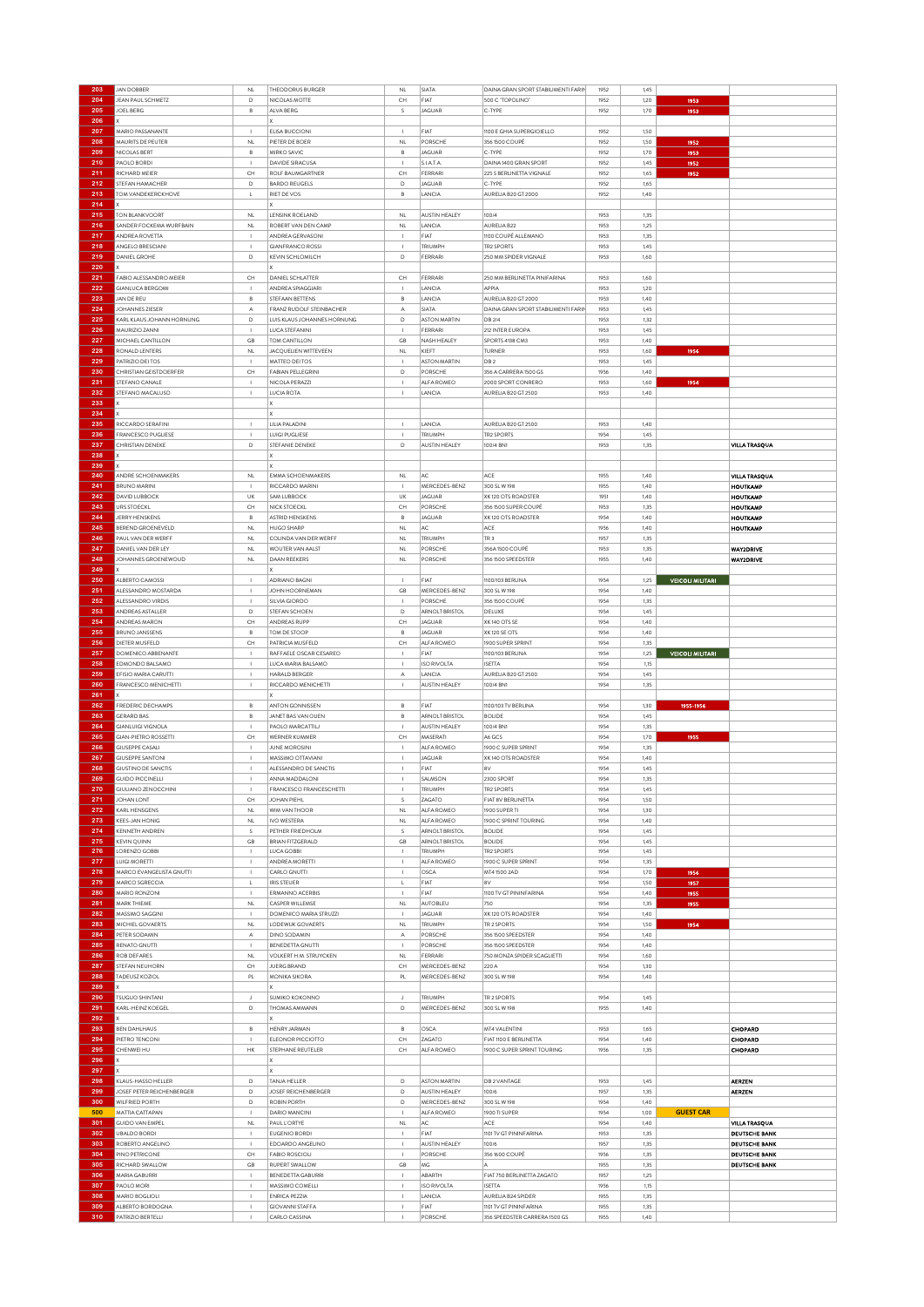|            | <b>JAN DOBBER</b>                     | NL                                                               | THEODORUS BURGER                        | NL                                                               | SIATA                | DAINA GRAN SPORT STABILIMENTI FARIN | 1952 | 1,45         |                         |                      |
|------------|---------------------------------------|------------------------------------------------------------------|-----------------------------------------|------------------------------------------------------------------|----------------------|-------------------------------------|------|--------------|-------------------------|----------------------|
| 204        | JEAN PAUL SCHMETZ                     | D                                                                | NICOLAS MOTTE                           | CH                                                               | FIAT                 | 500 C "TOPOLINO"                    | 1952 | 1,20         | 1953                    |                      |
|            |                                       |                                                                  | ALVA BERG                               |                                                                  |                      |                                     |      |              |                         |                      |
| 205        | JOEL BERG                             | $_{\rm B}$                                                       |                                         | s                                                                | <b>JAGUAR</b>        | C-TYPE                              | 1952 | 1,70         | 1953                    |                      |
| 206        |                                       |                                                                  |                                         |                                                                  |                      |                                     |      |              |                         |                      |
| 207        | MARIO PASSANANTE                      | $\mathbf I$                                                      | ELISA BUCCIONI                          |                                                                  | FIAT                 | 1100 E GHIA SUPERGIOIELLO           | 1952 | 1,50         |                         |                      |
| 208        | MAURITS DE PEUTER                     | <b>NL</b>                                                        | PIETER DE BOER                          | NL                                                               | PORSCHE              | 356 1500 COUPÉ                      | 1952 | 1,50         | 1952                    |                      |
| 209        | NICOLAS BERT                          | $_{\rm B}$                                                       | MIRKO SAVIC                             | B                                                                | <b>JAGUAR</b>        | C-TYPE                              | 1952 | 1,70         | 1953                    |                      |
| 210        | PAOLO BORDI                           | $\overline{1}$                                                   | DAVIDE SIRACUSA                         | $\overline{1}$                                                   | S.I.A.T.A            | DAINA 1400 GRAN SPORT               | 1952 | 1,45         | 1952                    |                      |
|            |                                       |                                                                  |                                         |                                                                  |                      |                                     |      |              |                         |                      |
| 211        | RICHARD MEIER                         | CH                                                               | ROLF BAUMGARTNER                        | $\mathsf{CH}% _{\mathbb{C}}\left( \mathbb{C}^{\otimes n}\right)$ | FERRARI              | 225 S BERLINETTA VIGNALE            | 1952 | 1,65         | 1952                    |                      |
| 212        | STEFAN HAMACHER                       | D                                                                | <b>BARDO REUGELS</b>                    | D                                                                | <b>JAGUAR</b>        | C-TYPE                              | 1952 | 1,65         |                         |                      |
| 213        | TOM VANDEKERCKHOVE                    | L                                                                | RIET DE VOS                             | в                                                                | LANCIA               | AURELIA B20 GT 2000                 | 1952 | 1,40         |                         |                      |
| 214        |                                       |                                                                  |                                         |                                                                  |                      |                                     |      |              |                         |                      |
| 215        | <b>TON BLANKVOORT</b>                 | NL                                                               | LENSINK ROELAND                         | <b>NL</b>                                                        | AUSTIN HEALEY        | 100/4                               | 1953 | 1,35         |                         |                      |
| 216        | SANDER FOCKEMA WURFBAIN               | <b>NL</b>                                                        | ROBERT VAN DEN CAMP                     | <b>NL</b>                                                        | LANCIA               | AURELIA B22                         | 1953 | 1,25         |                         |                      |
|            |                                       |                                                                  |                                         |                                                                  |                      |                                     |      |              |                         |                      |
| 217        | ANDREA ROVETTA                        |                                                                  | ANDREA GERVASONI                        |                                                                  | FIAT                 | 1100 COUPÉ ALLEMANO                 | 1953 | 1,35         |                         |                      |
| 218        | ANGELO BRESCIANI                      | $\mathbf{I}$                                                     | GIANERANCO ROSSI                        |                                                                  | TRIUMPH              | <b>TR2 SPORTS</b>                   | 1953 | 1,45         |                         |                      |
| 219        | DANIEL GROHE                          | $\mathsf D$                                                      | KEVIN SCHLOMILCH                        | D                                                                | FERRARI              | 250 MM SPIDER VIGNALE               | 1953 | 1,60         |                         |                      |
| 220        |                                       |                                                                  |                                         |                                                                  |                      |                                     |      |              |                         |                      |
| 221        | FABIO ALESSANDRO MEIER                | CH                                                               | DANIEL SCHLATTER                        | CH                                                               | FERRARI              | 250 MM BERLINETTA PINIFARINA        | 1953 | 1,60         |                         |                      |
| 222        | <b>GIANLUCA BERGOMI</b>               | $\mathbf{I}$                                                     | ANDREA SPIAGGIARI                       |                                                                  | LANCIA               | APPIA                               | 1953 | 1,20         |                         |                      |
|            |                                       |                                                                  |                                         |                                                                  |                      |                                     |      |              |                         |                      |
| 223        | JAN DE REU                            | B                                                                | STEFAAN BETTENS                         | B                                                                | LANCIA               | AURELIA B20 GT 2000                 | 1953 | 1,40         |                         |                      |
| 224        | JOHANNES ZIESER                       | $\mathbb A$                                                      | FRANZ RUDOLF STEINBACHER                | А                                                                | SIATA                | DAINA GRAN SPORT STABILIMENTI FARIN | 1953 | 1,45         |                         |                      |
| 225        | KARL KLAUS JOHANN HORNUNG             | D                                                                | LUIS KLAUS JOHANNES HORNUNG             | D                                                                | <b>ASTON MARTIN</b>  | DB 2/4                              | 1953 | 1,32         |                         |                      |
| 226        | MAURIZIO ZANNI                        |                                                                  | LUCA STEFANINI                          |                                                                  | FERRARI              | 212 INTER EUROPA                    | 1953 | 1,45         |                         |                      |
| 227        | MICHAEL CANTILLON                     | GB                                                               | TOM CANTILLON                           | GB                                                               | <b>NASH HEALEY</b>   | SPORTS 4138 CM3                     | 1953 | 1,40         |                         |                      |
| 228        | RONALD LENTERS                        | NL                                                               | JACQUELIEN WITTEVEEN                    | <b>NL</b>                                                        | KIEFT                | TURNER                              | 1953 | 1,60         | 1956                    |                      |
|            |                                       |                                                                  |                                         |                                                                  |                      |                                     |      |              |                         |                      |
| 229        | PATRIZIO DEI TOS                      |                                                                  | MATTEO DEI TOS                          |                                                                  | <b>ASTON MARTIN</b>  | DB <sub>2</sub>                     | 1953 | 1,45         |                         |                      |
| 230        | CHRISTIAN GEISTDOERFER                | $\mathsf{CH}% \left( \mathcal{M}\right)$                         | <b>FABIAN PELLEGRINI</b>                | $\mathsf D$                                                      | PORSCHE              | 356 A CARRERA 1500 GS               | 1956 | 1,40         |                         |                      |
| 231        | STEFANO CANALE                        | $\overline{\phantom{a}}$                                         | NICOLA PERAZZI                          | $\blacksquare$                                                   | ALFA ROMEO           | 2000 SPORT CONRERO                  | 1953 | 1,60         | 1954                    |                      |
| 232        | STEFANO MACALUSO                      | $\mathbf{I}$                                                     | <b>LUCIA ROTA</b>                       | $\mathbf{I}$                                                     | LANCIA               | AURELIA B20 GT 2500                 | 1953 | 1,40         |                         |                      |
| 233        |                                       |                                                                  |                                         |                                                                  |                      |                                     |      |              |                         |                      |
| 234        |                                       |                                                                  |                                         |                                                                  |                      |                                     |      |              |                         |                      |
|            |                                       |                                                                  |                                         |                                                                  |                      |                                     |      |              |                         |                      |
| 235        | RICCARDO SERAFINI                     | $\overline{1}$                                                   | LILIA PALADINI                          |                                                                  | LANCIA               | AURELIA B20 GT 2500                 | 1953 | 1,40         |                         |                      |
| 236        | <b>FRANCESCO PUGLIESE</b>             | $\mathbf I$                                                      | <b>LUIGI PUGLIESE</b>                   | $\mathbf{I}$                                                     | TRIUMPH              | TR2 SPORTS                          | 1954 | 1,45         |                         |                      |
| 237        | CHRISTIAN DENEKE                      | D                                                                | STEFANIE DENEKE                         | D                                                                | AUSTIN HEALEY        | 100/4 BN1                           | 1953 | 1,35         |                         | VILLA TRASQUA        |
| 238        |                                       |                                                                  |                                         |                                                                  |                      |                                     |      |              |                         |                      |
|            |                                       |                                                                  |                                         |                                                                  |                      |                                     |      |              |                         |                      |
| 239        |                                       |                                                                  |                                         |                                                                  |                      |                                     |      |              |                         |                      |
| 240        | ANDRE SCHOENMAKERS                    | <b>NL</b>                                                        | EMMA SCHOENMAKERS                       | $\mathsf{NL}$                                                    | AC                   | ACE                                 | 1955 | 1,40         |                         | VILLA TRASQUA        |
| 241        | <b>BRUNO MARINI</b>                   | $\overline{1}$                                                   | RICCARDO MARIN                          | $\overline{1}$                                                   | MERCEDES-BENZ        | 300 SL W 198                        | 1955 | 1,40         |                         | <b>HOUTKAMP</b>      |
| 242        | DAVID LUBBOCK                         | UK                                                               | SAM LUBBOCK                             | UK                                                               | <b>JAGUAR</b>        | XK 120 OTS ROADSTER                 | 1951 | 1,40         |                         | <b>HOUTKAMP</b>      |
| 243        | <b>URS STOECKL</b>                    | CH                                                               | NICK STOECKL                            | CH                                                               | PORSCHE              | 356 1500 SUPER COUPÉ                | 1953 | 1,35         |                         | <b>HOUTKAMP</b>      |
|            |                                       |                                                                  |                                         |                                                                  |                      |                                     |      |              |                         |                      |
| 244        | JERRY HENSKENS                        | B                                                                | ASTRID HENSKENS                         | B                                                                | <b>JAGUAR</b>        | XK 120 OTS ROADSTER                 | 1954 | 1,40         |                         | <b>HOUTKAMP</b>      |
| 245        | BEREND GROENEVELD                     | NL                                                               | HUGO SHARP                              | NL                                                               | AC                   | ACE                                 | 1956 | 1,40         |                         | <b>HOUTKAMP</b>      |
| 246        | PAUL VAN DER WERFF                    | NL                                                               | COLINDA VAN DER WERFF                   | NL                                                               | TRIUMPH              | TR <sub>3</sub>                     | 1957 | 1,35         |                         |                      |
| 247        | DANIEL VAN DER LEY                    | NL                                                               | WOUTER VAN AALST                        | N <sub>L</sub>                                                   | PORSCHE              | 356A 1500 COUPÉ                     | 1953 | 1,35         |                         | <b>WAY2DRIVE</b>     |
| 248        | JOHANNES GROENEWOUD                   | NL                                                               | DAAN REEKERS                            | N <sub>L</sub>                                                   | PORSCHE              | 356 1500 SPEEDSTER                  | 1955 | 1,40         |                         | <b>WAY2DRIVE</b>     |
| 249        |                                       |                                                                  |                                         |                                                                  |                      |                                     |      |              |                         |                      |
|            |                                       |                                                                  |                                         |                                                                  | FIAT                 |                                     |      |              |                         |                      |
| 250        | ALBERTO CAMOSSI                       | $\mathbf{I}$                                                     | ADRIANO BAGNI                           | $\blacksquare$                                                   |                      | 1100/103 BERLINA                    | 1954 | 1,25         | <b>VEICOLI MILITARI</b> |                      |
| 251        | ALESSANDRO MOSTARDA                   | $\mathbf{I}$                                                     | JOHN HOORNEMAN                          | $\mathsf{GB}$                                                    | MERCEDES-BENZ        | 300 SL W 198                        | 1954 | 1,40         |                         |                      |
| 252        | ALESSANDRO VIRDIS                     | $\overline{1}$                                                   | SILVIA GIORDO                           | $\overline{1}$                                                   | PORSCHE              | 356 1500 COUPÉ                      | 1954 | 1,35         |                         |                      |
| 253        | ANDREAS ASTALLER                      | $\mathsf D$                                                      | STEFAN SCHOEN                           | D                                                                | ARNOLT BRISTOL       | DELUXE                              | 1954 | 1,45         |                         |                      |
| 254        | ANDREAS MARON                         | CH                                                               | ANDREAS RUPP                            | CH                                                               | <b>JAGUAR</b>        | XK140 OTS SE                        | 1954 | 1,40         |                         |                      |
| 255        | <b>BRUNO JANSSENS</b>                 | $\mathsf B$                                                      | TOM DE STOOP                            | B                                                                | <b>JAGUAR</b>        | XK120 SE OTS                        | 1954 | 1,40         |                         |                      |
|            |                                       |                                                                  |                                         |                                                                  |                      |                                     |      |              |                         |                      |
| 256        | DIETER MUSFELD                        | CH                                                               | PATRICIA MUSFELD                        | CH                                                               | ALFA ROMEO           | 1900 SUPER SPRINT                   | 1954 | 1,35         |                         |                      |
| 257        | DOMENICO ABBENANTE                    | $\overline{1}$                                                   | RAFFAELE OSCAR CESAREO                  |                                                                  | FIAT                 | 1100/103 BERLINA                    | 1954 | 1,25         | <b>VEICOLI MILITARI</b> |                      |
| 258        | EDMONDO BALSAMO                       | $\mathbf{I}$                                                     | LUCA MARIA BALSAMO                      |                                                                  | <b>ISO RIVOLTA</b>   | <b>ISETTA</b>                       | 1954 | 1,15         |                         |                      |
| 259        | EFISIO MARIA CARUTTI                  | $\mathbf{I}$                                                     | HARALD BERGER                           | А                                                                | LANCIA               | AURELIA B20 GT 2500                 | 1954 | 1,45         |                         |                      |
|            | FRANCESCO MENICHETTI                  | $\overline{\phantom{a}}$                                         | RICCARDO MENICHETTI                     | $\blacksquare$                                                   | AUSTIN HEALEY        | 100/4 BN1                           | 1954 | 1,35         |                         |                      |
|            |                                       |                                                                  |                                         |                                                                  |                      |                                     |      |              |                         |                      |
| 260        |                                       |                                                                  |                                         |                                                                  | FIAT                 | 1100/103 TV BERLINA                 | 1954 |              |                         |                      |
| 261        |                                       |                                                                  |                                         |                                                                  |                      |                                     |      |              | 1955-1956               |                      |
| 262        | FREDERIC DECHAMPS                     | B                                                                | ANTON GONNISSEN                         | B                                                                |                      |                                     |      | 1,30         |                         |                      |
| 263        | <b>GERARD BAS</b>                     | $_{\rm B}$                                                       | JANET BAS VAN OUEN                      | B                                                                | ARNOLT BRISTOL       | <b>BOLIDE</b>                       | 1954 | 1,45         |                         |                      |
| 264        | <b>GIANLUIGI VIGNOLA</b>              | -1                                                               | PAOLO MARCATTILI                        |                                                                  | <b>AUSTIN HEALEY</b> | 100/4 BN1                           | 1954 | 1,35         |                         |                      |
| 265        | <b>GIAN-PIETRO ROSSETTI</b>           | CH                                                               | WERNER KUMMER                           | CH                                                               | MASERATI             | A6 GCS                              | 1954 | 1,70         | 1955                    |                      |
| 266        | <b>GIUSEPPE CASALI</b>                | $\overline{1}$                                                   | <b>JUNE MOROSINI</b>                    |                                                                  | ALFA ROMEO           |                                     | 1954 |              |                         |                      |
|            |                                       |                                                                  |                                         |                                                                  |                      | 1900 C SUPER SPRINT                 |      | 1,35         |                         |                      |
| 267        | <b>GIUSEPPE SANTONI</b>               |                                                                  | MASSIMO OTTAVIANI                       |                                                                  | <b>JAGUAR</b>        | XK 140 OTS ROADSTER                 | 1954 | 1,40         |                         |                      |
| 268        | <b>GIUSTINO DE SANCTIS</b>            | $\mathbf{I}$                                                     | ALESSANDRO DE SANCTIS                   |                                                                  | FIAT                 | 8V                                  | 1954 | 1,45         |                         |                      |
| 269        | <b>GUIDO PICCINELLI</b>               |                                                                  | ANNA MADDALONI                          |                                                                  | SALMSON              | 2300 SPORT                          | 1954 | 1,35         |                         |                      |
| 270        | <b>GIULIANO ZENOCCHINI</b>            |                                                                  | FRANCESCO FRANCESCHETTI                 |                                                                  | TRIUMPH              | TR2 SPORTS                          | 1954 | 1,45         |                         |                      |
| 271        | <b>JOHAN LONT</b>                     | CH                                                               | <b>JOHAN PIEHL</b>                      | S                                                                | ZAGATO               | FIAT 8V BERLINETTA                  | 1954 | 1,50         |                         |                      |
| 272        | KARL HENSGENS                         | NL                                                               | WIM VAN THOOR                           | <b>NL</b>                                                        | ALFA ROMEO           | 1900 SUPER TI                       | 1954 | 1,30         |                         |                      |
|            |                                       |                                                                  |                                         |                                                                  |                      |                                     |      |              |                         |                      |
| 273        | <b>KEES-JAN HONIG</b>                 | NL                                                               | IVO WESTERA                             | <b>NL</b>                                                        | ALFA ROMEO           | 1900 C SPRINT TOURING               | 1954 | 1,40         |                         |                      |
| 274        | <b>KENNETH ANDREN</b>                 | s                                                                | PETHER FRIEDHOLM                        | s                                                                | ARNOLT BRISTOL       | <b>BOLIDE</b>                       | 1954 | 1,45         |                         |                      |
| 275        | <b>KEVIN QUINN</b>                    | GB                                                               | <b>BRIAN FITZGERALD</b>                 | GB                                                               | ARNOLT BRISTOL       | <b>BOLIDE</b>                       | 1954 | 1,45         |                         |                      |
| 276        | LORENZO GOBBI                         | $\mathbf{I}$                                                     | LUCA GOBBI                              |                                                                  | TRIUMPH              | TR2 SPORTS                          | 1954 | 1,45         |                         |                      |
| 277        | LUIGI MORETTI                         | $\mathbf{I}$                                                     | ANDREA MORETTI                          | $\mathbf{I}$                                                     | ALFA ROMEO           | 1900 C SUPER SPRINT                 | 1954 | 1,35         |                         |                      |
| 278        | MARCO EVANGELISTA GNUTTI              | $\mathbf{I}$                                                     | CARLO GNUTTI                            | $\overline{1}$                                                   | OSCA                 | MT4 1500 2AD                        | 1954 | 1,70         | 1956                    |                      |
| 279        |                                       | L                                                                |                                         | L                                                                | FIAT                 | 8V                                  |      |              |                         |                      |
|            | MARCO SGRECCIA                        |                                                                  | IRIS STEUER                             |                                                                  |                      |                                     | 1954 | 1,50         | 1957                    |                      |
| 280        | MARIO RONZONI                         | $\mathbf{I}$                                                     | ERMANNO ACERBIS                         |                                                                  | FIAT                 | 1100 TV GT PININFARINA              | 1954 | 1,40         | 1955                    |                      |
| 281        | MARK THIEME                           | NL                                                               | CASPER WILLEMSE                         | N <sub>L</sub>                                                   | AUTOBLEU             | 750                                 | 1954 | 1,35         | 1955                    |                      |
| 282        | MASSIMO SAGGINI                       | $\mathbf{I}$                                                     | DOMENICO MARIA STRUZZI                  | $\overline{1}$                                                   | <b>JAGUAR</b>        | XK 120 OTS ROADSTER                 | 1954 | 1,40         |                         |                      |
| 283        | MICHIEL GOVAERTS                      | NL                                                               | LODEWIJK GOVAERTS                       | N <sub>L</sub>                                                   | TRIUMPH              | TR 2 SPORTS                         | 1954 | 1,50         | 1954                    |                      |
| 284        | PETER SODAMIN                         | А                                                                | DINO SODAMIN                            | А                                                                | PORSCHE              | 356 1500 SPEEDSTER                  | 1954 | 1,40         |                         |                      |
|            |                                       | $\mathbf{I}$                                                     |                                         |                                                                  | PORSCHE              |                                     |      | 1,40         |                         |                      |
| 285        | RENATO GNUTTI                         |                                                                  | BENEDETTA GNUTTI                        |                                                                  |                      | 356 1500 SPEEDSTER                  | 1954 |              |                         |                      |
| 286        | <b>ROB DEFARES</b>                    | $\mathsf{NL}$                                                    | VOLKERT H.M. STRUYCKEN                  | <b>NL</b>                                                        | FERRARI              | 750 MONZA SPIDER SCAGLIETTI         | 1954 | 1,60         |                         |                      |
| 287        | STEFAN NEUHORN                        | CH                                                               | JUERG BRAND                             | CH                                                               | MERCEDES-BENZ        | 220 A                               | 1954 | 1,30         |                         |                      |
| 288        | <b>TADEUSZ KOZIOL</b>                 | $\mathsf{PL}$                                                    | MONIKA SIKORA                           | $\mathsf{PL}$                                                    | MERCEDES-BENZ        | 300 SL W 198                        | 1954 | 1,40         |                         |                      |
| 289        |                                       |                                                                  |                                         |                                                                  |                      |                                     |      |              |                         |                      |
| 290        | <b>TSUGUO SHINTANI</b>                | J                                                                | SUMIKO KOKONNO                          | J                                                                | TRIUMPH              | TR 2 SPORTS                         | 1954 | 1,45         |                         |                      |
| 291        | KARL-HEINZ KOEGEL                     | D                                                                | <b>THOMAS AMMANN</b>                    | D                                                                | MERCEDES-BENZ        | 300 SL W 198                        | 1955 | 1,40         |                         |                      |
|            |                                       |                                                                  |                                         |                                                                  |                      |                                     |      |              |                         |                      |
| 292        |                                       |                                                                  |                                         |                                                                  |                      |                                     |      |              |                         |                      |
| 293        | <b>BEN DAHLHAUS</b>                   | В                                                                | <b>HENRY JARMAN</b>                     | в                                                                | OSCA                 | MT4 VALENTINI                       | 1953 | 1,65         |                         | CHOPARD              |
| 294        | PIETRO TENCONI                        | $\overline{\phantom{a}}$                                         | ELEONOR PICCIOTTO                       | $\mathsf{CH}% _{\mathbb{C}}\left( \mathbb{C}^{\otimes n}\right)$ | ZAGATO               | FIAT 1100 E BERLINETTA              | 1954 | 1,40         |                         | CHOPARD              |
| 295        | CHENWEI HU                            | HK                                                               | STEPHANE REUTELER                       | CH                                                               | ALFA ROMEO           | 1900 C SUPER SPRINT TOURING         | 1956 | 1,35         |                         | CHOPARD              |
| 296        |                                       |                                                                  |                                         |                                                                  |                      |                                     |      |              |                         |                      |
|            |                                       |                                                                  |                                         |                                                                  |                      |                                     |      |              |                         |                      |
| 297        |                                       |                                                                  |                                         |                                                                  |                      |                                     |      |              |                         |                      |
| 298        | KLAUS-HASSO HELLER                    | D                                                                | TANJA HELLER                            | D                                                                | <b>ASTON MARTIN</b>  | DB 2 VANTAGE                        | 1953 | 1,45         |                         | <b>AERZEN</b>        |
| 299        | JOSEF PETER REICHENBERGER             | D                                                                | JOSEF REICHENBERGER                     | D                                                                | <b>AUSTIN HEALEY</b> | 100/6                               | 1957 | 1,35         |                         | <b>AERZEN</b>        |
| 300        | WILFRIED PORTH                        | D                                                                | ROBIN PORTH                             | D                                                                | MERCEDES-BENZ        | 300 SL W 198                        | 1954 | 1,40         |                         |                      |
| 500        | MATTIA CATTAPAN                       |                                                                  | <b>DARIO MANCINI</b>                    |                                                                  | ALFA ROMEO           | 1900 TI SUPER                       | 1954 | 1,00         | <b>GUEST CAR</b>        |                      |
| 301        | <b>GUIDO VAN EMPEL</b>                | <b>NL</b>                                                        | PAUL L'ORTYE                            | $\mathsf{NL}$                                                    | AC                   | ACE                                 | 1954 | 1,40         |                         | VILLA TRASQUA        |
| 302        | <b>UBALDO BORDI</b>                   | $\overline{1}$                                                   | EUGENIO BORDI                           | $\overline{1}$                                                   | FIAT                 | 1101 TV GT PININFARINA              | 1953 | 1,35         |                         | <b>DEUTSCHE BANK</b> |
|            |                                       |                                                                  |                                         |                                                                  |                      |                                     |      |              |                         |                      |
| 303        | ROBERTO ANGELINO                      | $\blacksquare$                                                   | EDOARDO ANGELINO                        |                                                                  | AUSTIN HEALEY        | 100/6                               | 1957 | 1,35         |                         | <b>DEUTSCHE BANK</b> |
| 304        | PINO PETRICONE                        | $\mathsf{CH}% _{\mathbb{C}}\left( \mathbb{C}^{\otimes n}\right)$ | <b>FABIO ROSCIOLI</b>                   |                                                                  | PORSCHE              | 356 1600 COUPÉ                      | 1956 | 1,35         |                         | DEUTSCHE BANK        |
| 305        | RICHARD SWALLOW                       | GB                                                               | RUPERT SWALLOW                          | GB                                                               | MG                   | А                                   | 1955 | 1,35         |                         | <b>DEUTSCHE BANK</b> |
| 306        | MARIA GABURRI                         | $\overline{1}$                                                   | BENEDETTA GABURRI                       | $\overline{1}$                                                   | ABARTH               | FIAT 750 BERLINETTA ZAGATO          | 1957 | 1,25         |                         |                      |
| 307        | PAOLO MORI                            | $\mathbf{I}$                                                     | MASSIMO COMELL                          | $\mathbf{I}$                                                     | <b>ISO RIVOLTA</b>   | <b>ISETTA</b>                       | 1956 | 1,15         |                         |                      |
| 308        | MARIO BOGLIOLI                        | $\mathbf{I}$                                                     | ENRICA PEZZIA                           |                                                                  | LANCIA               | AURELIA B24 SPIDER                  | 1955 | 1,35         |                         |                      |
|            |                                       | $\mathbf{I}$                                                     |                                         | $\blacksquare$                                                   | FIAT                 | 1101 TV GT PININFARINA              | 1955 |              |                         |                      |
| 309<br>310 | ALBERTO BORDOGNA<br>PATRIZIO BERTELLI |                                                                  | <b>GIOVANNI STAFFA</b><br>CARLO CASSINA |                                                                  | PORSCHE              | 356 SPEEDSTER CARRERA 1500 GS       | 1955 | 1,35<br>1,40 |                         |                      |